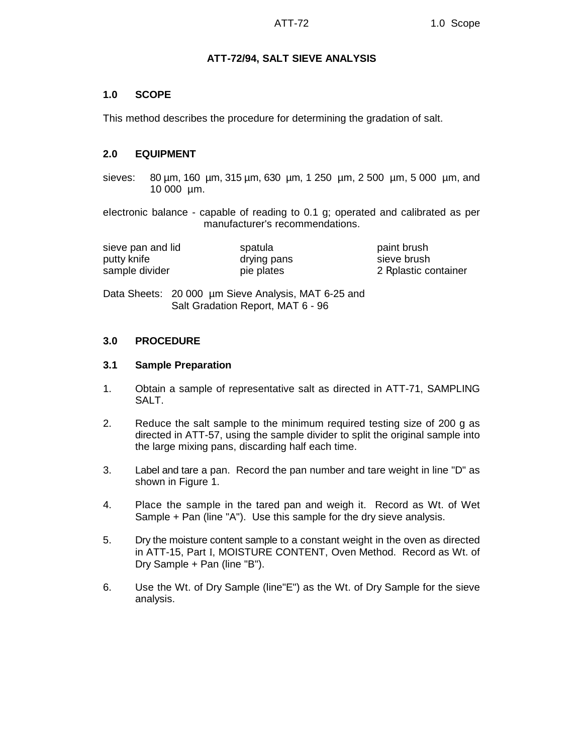# **ATT-72/94, SALT SIEVE ANALYSIS**

# **1.0 SCOPE**

This method describes the procedure for determining the gradation of salt.

# **2.0 EQUIPMENT**

sieves: 80 µm, 160 µm, 315 µm, 630 µm, 1 250 µm, 2 500 µm, 5 000 µm, and 10 000 µm.

electronic balance - capable of reading to 0.1 g; operated and calibrated as per manufacturer's recommendations.

| sieve pan and lid | spatula     | paint brush           |
|-------------------|-------------|-----------------------|
| putty knife       | drying pans | sieve brush           |
| sample divider    | pie plates  | 2 R plastic container |

Data Sheets: 20 000 µm Sieve Analysis, MAT 6-25 and Salt Gradation Report, MAT 6 - 96

### **3.0 PROCEDURE**

### **3.1 Sample Preparation**

- 1. Obtain a sample of representative salt as directed in ATT-71, SAMPLING SALT.
- 2. Reduce the salt sample to the minimum required testing size of 200 g as directed in ATT-57, using the sample divider to split the original sample into the large mixing pans, discarding half each time.
- 3. Label and tare a pan. Record the pan number and tare weight in line "D" as shown in Figure 1.
- 4. Place the sample in the tared pan and weigh it. Record as Wt. of Wet Sample + Pan (line "A"). Use this sample for the dry sieve analysis.
- 5. Dry the moisture content sample to a constant weight in the oven as directed in ATT-15, Part I, MOISTURE CONTENT, Oven Method. Record as Wt. of Dry Sample + Pan (line "B").
- 6. Use the Wt. of Dry Sample (line"E") as the Wt. of Dry Sample for the sieve analysis.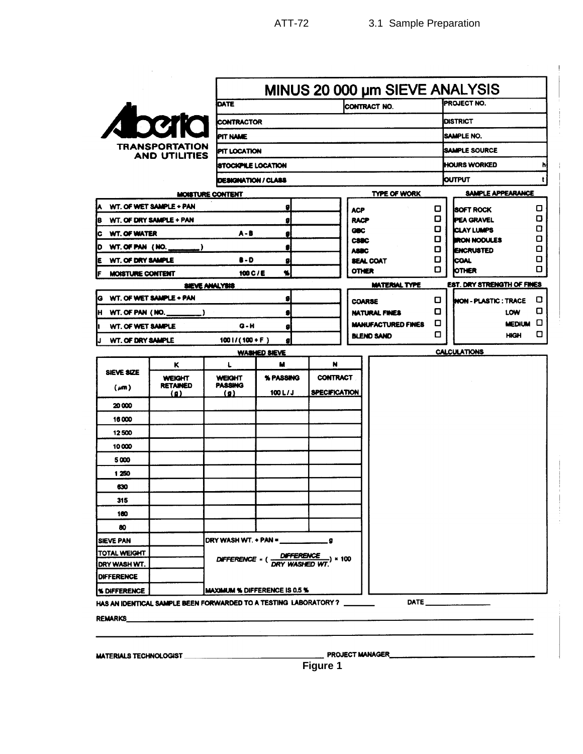| <b>TRANSPORTATION</b><br>AND UTILITIES |  |
|----------------------------------------|--|

|                                                                                                                                                                                                                                                                                                                                                                                                                                                                                                                                                                                                                                                                                                                                                                                                                                                                                                                                                                                                                                                                                                                                                                                                                                                                                                                                                                                                                                                                                                                                                                                                                                                                                                                                                                                                                                                                                                                                                                                                                                        |  | <b>DATE</b>     |  |  |  |  |  |  |  |        |  |
|----------------------------------------------------------------------------------------------------------------------------------------------------------------------------------------------------------------------------------------------------------------------------------------------------------------------------------------------------------------------------------------------------------------------------------------------------------------------------------------------------------------------------------------------------------------------------------------------------------------------------------------------------------------------------------------------------------------------------------------------------------------------------------------------------------------------------------------------------------------------------------------------------------------------------------------------------------------------------------------------------------------------------------------------------------------------------------------------------------------------------------------------------------------------------------------------------------------------------------------------------------------------------------------------------------------------------------------------------------------------------------------------------------------------------------------------------------------------------------------------------------------------------------------------------------------------------------------------------------------------------------------------------------------------------------------------------------------------------------------------------------------------------------------------------------------------------------------------------------------------------------------------------------------------------------------------------------------------------------------------------------------------------------------|--|-----------------|--|--|--|--|--|--|--|--------|--|
|                                                                                                                                                                                                                                                                                                                                                                                                                                                                                                                                                                                                                                                                                                                                                                                                                                                                                                                                                                                                                                                                                                                                                                                                                                                                                                                                                                                                                                                                                                                                                                                                                                                                                                                                                                                                                                                                                                                                                                                                                                        |  |                 |  |  |  |  |  |  |  |        |  |
|                                                                                                                                                                                                                                                                                                                                                                                                                                                                                                                                                                                                                                                                                                                                                                                                                                                                                                                                                                                                                                                                                                                                                                                                                                                                                                                                                                                                                                                                                                                                                                                                                                                                                                                                                                                                                                                                                                                                                                                                                                        |  | <b>PIT NAME</b> |  |  |  |  |  |  |  |        |  |
|                                                                                                                                                                                                                                                                                                                                                                                                                                                                                                                                                                                                                                                                                                                                                                                                                                                                                                                                                                                                                                                                                                                                                                                                                                                                                                                                                                                                                                                                                                                                                                                                                                                                                                                                                                                                                                                                                                                                                                                                                                        |  |                 |  |  |  |  |  |  |  |        |  |
|                                                                                                                                                                                                                                                                                                                                                                                                                                                                                                                                                                                                                                                                                                                                                                                                                                                                                                                                                                                                                                                                                                                                                                                                                                                                                                                                                                                                                                                                                                                                                                                                                                                                                                                                                                                                                                                                                                                                                                                                                                        |  |                 |  |  |  |  |  |  |  |        |  |
|                                                                                                                                                                                                                                                                                                                                                                                                                                                                                                                                                                                                                                                                                                                                                                                                                                                                                                                                                                                                                                                                                                                                                                                                                                                                                                                                                                                                                                                                                                                                                                                                                                                                                                                                                                                                                                                                                                                                                                                                                                        |  |                 |  |  |  |  |  |  |  |        |  |
| MINUS 20 000 µm SIEVE ANALYSIS<br>PROJECT NO.<br>CONTRACT NO.<br><b>Theoric</b><br><b>CONTRACTOR</b><br><b>DISTRICT</b><br><b>SAMPLE NO.</b><br>TRANSPORTATION<br><b>ISAMPLE SOURCE</b><br><b>PIT LOCATION</b><br><b>AND UTILITIES</b><br>HOURS WORKED<br><b>ISTOCKPILE LOCATION</b><br><b>OUTPUT</b><br>DESIGNATION / CLASS<br><b>TYPE OF WORK</b><br>SAMPLE APPEARANCE<br>MOISTURE CONTENT<br>WT. OF WET SAMPLE + PAN<br>g<br>0<br><b>ISOFT ROCK</b><br><b>ACP</b><br>0<br><b>PEA GRAVEL</b><br>IB.<br><b>WT. OF DRY SAMPLE + PAN</b><br><b>RACP</b><br>ø<br>0<br><b>ICLAY LUMPS</b><br><b>GBC</b><br>$A - B$<br><b>WT. OF WATER</b><br>Įс<br>Ø<br>O<br><b>IRON NODULES</b><br><b>CSBC</b><br>D<br>WT. OF PAN $(NO, \underline{\hspace{2cm}})$<br>9<br>о<br>ENCRUSTED<br><b>ABBC</b><br>O<br>8 - D<br><b>ICOAL</b><br>iE.<br><b>WT. OF DRY SAMPLE</b><br>g<br><b>SEAL COAT</b><br>О<br><b>OTHER</b><br><b>OTHER</b><br>Ł<br>100 C / E<br>IF<br>MOISTURE CONTENT<br><b>EST. DRY STRENGTH OF FINES</b><br><b>MATERIAL TYPE</b><br>SIEVE ANALYSIS<br>G WT. OF WET SAMPLE + PAN<br>s<br>0.<br><b>INON - PLASTIC : TRACE</b><br><b>COARSE</b><br>O<br>LOW<br>H WT. OF PAN (NO.<br><b>NATURAL FINES</b><br>g<br>о<br><b>MEDIUM</b><br><b>MANUFACTURED FINES</b><br>G - H<br>WT. OF WET SAMPLE<br>h<br>g<br>□<br><b>HIGH</b><br><b>BLEND SAND</b><br>WT. OF DRY SAMPLE<br>$1001/(100+F)$<br>IJ<br>ø<br><b>CALCULATIONS</b><br><b>WASHED SIEVE</b><br>N<br>κ<br>Ł<br>м<br>SIEVE SIZE<br><b>WEIGHT</b><br><b>WEIGHT</b><br>% PASSING<br><b>CONTRACT</b><br><b>PASSING</b><br><b>RETAINED</b><br>(m)<br><b>SPECIFICATION</b><br>100 L/J<br>$\Omega$<br>$\left( n \right)$<br>20 000<br>16000<br>12500<br>10000<br>5000<br>1250<br>630<br>315<br>100<br>80<br><b>SIEVE PAN</b><br>TOTAL WEIGHT<br>.) × 100<br>DIFFERENCE = (DRY WASHED WT<br>IDRY WASH WT.<br><b>DIFFERENCE</b><br><b>MAXIMUM % DIFFERENCE IS 0.5 %</b><br><b>S DIFFERENCE</b><br>DATE ____________<br>HAS AN IDENTICAL SAMPLE BEEN FORWARDED TO A TESTING LABORATORY? ________ |  |                 |  |  |  |  |  |  |  |        |  |
|                                                                                                                                                                                                                                                                                                                                                                                                                                                                                                                                                                                                                                                                                                                                                                                                                                                                                                                                                                                                                                                                                                                                                                                                                                                                                                                                                                                                                                                                                                                                                                                                                                                                                                                                                                                                                                                                                                                                                                                                                                        |  |                 |  |  |  |  |  |  |  | о      |  |
|                                                                                                                                                                                                                                                                                                                                                                                                                                                                                                                                                                                                                                                                                                                                                                                                                                                                                                                                                                                                                                                                                                                                                                                                                                                                                                                                                                                                                                                                                                                                                                                                                                                                                                                                                                                                                                                                                                                                                                                                                                        |  |                 |  |  |  |  |  |  |  | O      |  |
|                                                                                                                                                                                                                                                                                                                                                                                                                                                                                                                                                                                                                                                                                                                                                                                                                                                                                                                                                                                                                                                                                                                                                                                                                                                                                                                                                                                                                                                                                                                                                                                                                                                                                                                                                                                                                                                                                                                                                                                                                                        |  |                 |  |  |  |  |  |  |  | о<br>О |  |
|                                                                                                                                                                                                                                                                                                                                                                                                                                                                                                                                                                                                                                                                                                                                                                                                                                                                                                                                                                                                                                                                                                                                                                                                                                                                                                                                                                                                                                                                                                                                                                                                                                                                                                                                                                                                                                                                                                                                                                                                                                        |  |                 |  |  |  |  |  |  |  | О      |  |
|                                                                                                                                                                                                                                                                                                                                                                                                                                                                                                                                                                                                                                                                                                                                                                                                                                                                                                                                                                                                                                                                                                                                                                                                                                                                                                                                                                                                                                                                                                                                                                                                                                                                                                                                                                                                                                                                                                                                                                                                                                        |  |                 |  |  |  |  |  |  |  | О      |  |
|                                                                                                                                                                                                                                                                                                                                                                                                                                                                                                                                                                                                                                                                                                                                                                                                                                                                                                                                                                                                                                                                                                                                                                                                                                                                                                                                                                                                                                                                                                                                                                                                                                                                                                                                                                                                                                                                                                                                                                                                                                        |  |                 |  |  |  |  |  |  |  | О      |  |
|                                                                                                                                                                                                                                                                                                                                                                                                                                                                                                                                                                                                                                                                                                                                                                                                                                                                                                                                                                                                                                                                                                                                                                                                                                                                                                                                                                                                                                                                                                                                                                                                                                                                                                                                                                                                                                                                                                                                                                                                                                        |  |                 |  |  |  |  |  |  |  |        |  |
|                                                                                                                                                                                                                                                                                                                                                                                                                                                                                                                                                                                                                                                                                                                                                                                                                                                                                                                                                                                                                                                                                                                                                                                                                                                                                                                                                                                                                                                                                                                                                                                                                                                                                                                                                                                                                                                                                                                                                                                                                                        |  |                 |  |  |  |  |  |  |  | O      |  |
|                                                                                                                                                                                                                                                                                                                                                                                                                                                                                                                                                                                                                                                                                                                                                                                                                                                                                                                                                                                                                                                                                                                                                                                                                                                                                                                                                                                                                                                                                                                                                                                                                                                                                                                                                                                                                                                                                                                                                                                                                                        |  |                 |  |  |  |  |  |  |  | О      |  |
|                                                                                                                                                                                                                                                                                                                                                                                                                                                                                                                                                                                                                                                                                                                                                                                                                                                                                                                                                                                                                                                                                                                                                                                                                                                                                                                                                                                                                                                                                                                                                                                                                                                                                                                                                                                                                                                                                                                                                                                                                                        |  |                 |  |  |  |  |  |  |  | ◻      |  |
|                                                                                                                                                                                                                                                                                                                                                                                                                                                                                                                                                                                                                                                                                                                                                                                                                                                                                                                                                                                                                                                                                                                                                                                                                                                                                                                                                                                                                                                                                                                                                                                                                                                                                                                                                                                                                                                                                                                                                                                                                                        |  |                 |  |  |  |  |  |  |  | ο      |  |
|                                                                                                                                                                                                                                                                                                                                                                                                                                                                                                                                                                                                                                                                                                                                                                                                                                                                                                                                                                                                                                                                                                                                                                                                                                                                                                                                                                                                                                                                                                                                                                                                                                                                                                                                                                                                                                                                                                                                                                                                                                        |  |                 |  |  |  |  |  |  |  |        |  |
|                                                                                                                                                                                                                                                                                                                                                                                                                                                                                                                                                                                                                                                                                                                                                                                                                                                                                                                                                                                                                                                                                                                                                                                                                                                                                                                                                                                                                                                                                                                                                                                                                                                                                                                                                                                                                                                                                                                                                                                                                                        |  |                 |  |  |  |  |  |  |  |        |  |
|                                                                                                                                                                                                                                                                                                                                                                                                                                                                                                                                                                                                                                                                                                                                                                                                                                                                                                                                                                                                                                                                                                                                                                                                                                                                                                                                                                                                                                                                                                                                                                                                                                                                                                                                                                                                                                                                                                                                                                                                                                        |  |                 |  |  |  |  |  |  |  |        |  |
|                                                                                                                                                                                                                                                                                                                                                                                                                                                                                                                                                                                                                                                                                                                                                                                                                                                                                                                                                                                                                                                                                                                                                                                                                                                                                                                                                                                                                                                                                                                                                                                                                                                                                                                                                                                                                                                                                                                                                                                                                                        |  |                 |  |  |  |  |  |  |  |        |  |
|                                                                                                                                                                                                                                                                                                                                                                                                                                                                                                                                                                                                                                                                                                                                                                                                                                                                                                                                                                                                                                                                                                                                                                                                                                                                                                                                                                                                                                                                                                                                                                                                                                                                                                                                                                                                                                                                                                                                                                                                                                        |  |                 |  |  |  |  |  |  |  |        |  |
|                                                                                                                                                                                                                                                                                                                                                                                                                                                                                                                                                                                                                                                                                                                                                                                                                                                                                                                                                                                                                                                                                                                                                                                                                                                                                                                                                                                                                                                                                                                                                                                                                                                                                                                                                                                                                                                                                                                                                                                                                                        |  |                 |  |  |  |  |  |  |  |        |  |
|                                                                                                                                                                                                                                                                                                                                                                                                                                                                                                                                                                                                                                                                                                                                                                                                                                                                                                                                                                                                                                                                                                                                                                                                                                                                                                                                                                                                                                                                                                                                                                                                                                                                                                                                                                                                                                                                                                                                                                                                                                        |  |                 |  |  |  |  |  |  |  |        |  |
|                                                                                                                                                                                                                                                                                                                                                                                                                                                                                                                                                                                                                                                                                                                                                                                                                                                                                                                                                                                                                                                                                                                                                                                                                                                                                                                                                                                                                                                                                                                                                                                                                                                                                                                                                                                                                                                                                                                                                                                                                                        |  |                 |  |  |  |  |  |  |  |        |  |
|                                                                                                                                                                                                                                                                                                                                                                                                                                                                                                                                                                                                                                                                                                                                                                                                                                                                                                                                                                                                                                                                                                                                                                                                                                                                                                                                                                                                                                                                                                                                                                                                                                                                                                                                                                                                                                                                                                                                                                                                                                        |  |                 |  |  |  |  |  |  |  |        |  |
|                                                                                                                                                                                                                                                                                                                                                                                                                                                                                                                                                                                                                                                                                                                                                                                                                                                                                                                                                                                                                                                                                                                                                                                                                                                                                                                                                                                                                                                                                                                                                                                                                                                                                                                                                                                                                                                                                                                                                                                                                                        |  |                 |  |  |  |  |  |  |  |        |  |
|                                                                                                                                                                                                                                                                                                                                                                                                                                                                                                                                                                                                                                                                                                                                                                                                                                                                                                                                                                                                                                                                                                                                                                                                                                                                                                                                                                                                                                                                                                                                                                                                                                                                                                                                                                                                                                                                                                                                                                                                                                        |  |                 |  |  |  |  |  |  |  |        |  |
|                                                                                                                                                                                                                                                                                                                                                                                                                                                                                                                                                                                                                                                                                                                                                                                                                                                                                                                                                                                                                                                                                                                                                                                                                                                                                                                                                                                                                                                                                                                                                                                                                                                                                                                                                                                                                                                                                                                                                                                                                                        |  |                 |  |  |  |  |  |  |  |        |  |
|                                                                                                                                                                                                                                                                                                                                                                                                                                                                                                                                                                                                                                                                                                                                                                                                                                                                                                                                                                                                                                                                                                                                                                                                                                                                                                                                                                                                                                                                                                                                                                                                                                                                                                                                                                                                                                                                                                                                                                                                                                        |  |                 |  |  |  |  |  |  |  |        |  |
|                                                                                                                                                                                                                                                                                                                                                                                                                                                                                                                                                                                                                                                                                                                                                                                                                                                                                                                                                                                                                                                                                                                                                                                                                                                                                                                                                                                                                                                                                                                                                                                                                                                                                                                                                                                                                                                                                                                                                                                                                                        |  |                 |  |  |  |  |  |  |  |        |  |
|                                                                                                                                                                                                                                                                                                                                                                                                                                                                                                                                                                                                                                                                                                                                                                                                                                                                                                                                                                                                                                                                                                                                                                                                                                                                                                                                                                                                                                                                                                                                                                                                                                                                                                                                                                                                                                                                                                                                                                                                                                        |  |                 |  |  |  |  |  |  |  |        |  |
|                                                                                                                                                                                                                                                                                                                                                                                                                                                                                                                                                                                                                                                                                                                                                                                                                                                                                                                                                                                                                                                                                                                                                                                                                                                                                                                                                                                                                                                                                                                                                                                                                                                                                                                                                                                                                                                                                                                                                                                                                                        |  |                 |  |  |  |  |  |  |  |        |  |
|                                                                                                                                                                                                                                                                                                                                                                                                                                                                                                                                                                                                                                                                                                                                                                                                                                                                                                                                                                                                                                                                                                                                                                                                                                                                                                                                                                                                                                                                                                                                                                                                                                                                                                                                                                                                                                                                                                                                                                                                                                        |  |                 |  |  |  |  |  |  |  |        |  |
|                                                                                                                                                                                                                                                                                                                                                                                                                                                                                                                                                                                                                                                                                                                                                                                                                                                                                                                                                                                                                                                                                                                                                                                                                                                                                                                                                                                                                                                                                                                                                                                                                                                                                                                                                                                                                                                                                                                                                                                                                                        |  |                 |  |  |  |  |  |  |  |        |  |
| <b>REMARKS</b>                                                                                                                                                                                                                                                                                                                                                                                                                                                                                                                                                                                                                                                                                                                                                                                                                                                                                                                                                                                                                                                                                                                                                                                                                                                                                                                                                                                                                                                                                                                                                                                                                                                                                                                                                                                                                                                                                                                                                                                                                         |  |                 |  |  |  |  |  |  |  |        |  |

MATERIALS TECHNOLOGIST

PROJECT MANAGER

**Figure 1**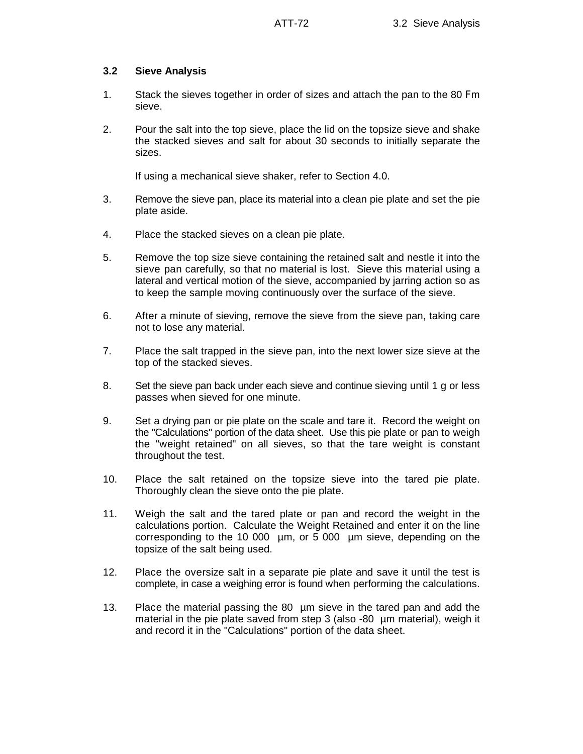## **3.2 Sieve Analysis**

- 1. Stack the sieves together in order of sizes and attach the pan to the 80 Fm sieve.
- 2. Pour the salt into the top sieve, place the lid on the topsize sieve and shake the stacked sieves and salt for about 30 seconds to initially separate the sizes.

If using a mechanical sieve shaker, refer to Section 4.0.

- 3. Remove the sieve pan, place its material into a clean pie plate and set the pie plate aside.
- 4. Place the stacked sieves on a clean pie plate.
- 5. Remove the top size sieve containing the retained salt and nestle it into the sieve pan carefully, so that no material is lost. Sieve this material using a lateral and vertical motion of the sieve, accompanied by jarring action so as to keep the sample moving continuously over the surface of the sieve.
- 6. After a minute of sieving, remove the sieve from the sieve pan, taking care not to lose any material.
- 7. Place the salt trapped in the sieve pan, into the next lower size sieve at the top of the stacked sieves.
- 8. Set the sieve pan back under each sieve and continue sieving until 1 g or less passes when sieved for one minute.
- 9. Set a drying pan or pie plate on the scale and tare it. Record the weight on the "Calculations" portion of the data sheet. Use this pie plate or pan to weigh the "weight retained" on all sieves, so that the tare weight is constant throughout the test.
- 10. Place the salt retained on the topsize sieve into the tared pie plate. Thoroughly clean the sieve onto the pie plate.
- 11. Weigh the salt and the tared plate or pan and record the weight in the calculations portion. Calculate the Weight Retained and enter it on the line corresponding to the 10 000 µm, or 5 000 µm sieve, depending on the topsize of the salt being used.
- 12. Place the oversize salt in a separate pie plate and save it until the test is complete, in case a weighing error is found when performing the calculations.
- 13. Place the material passing the 80 um sieve in the tared pan and add the material in the pie plate saved from step 3 (also -80 µm material), weigh it and record it in the "Calculations" portion of the data sheet.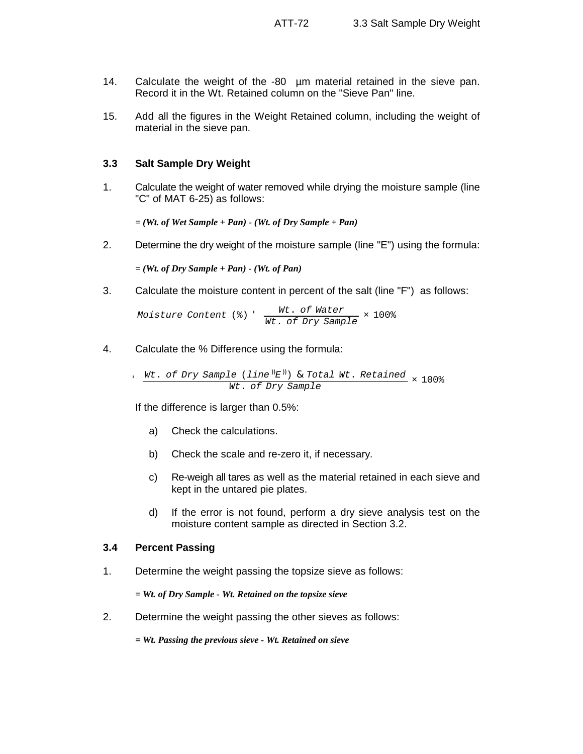- 14. Calculate the weight of the -80 µm material retained in the sieve pan. Record it in the Wt. Retained column on the "Sieve Pan" line.
- 15. Add all the figures in the Weight Retained column, including the weight of material in the sieve pan.

### **3.3 Salt Sample Dry Weight**

1. Calculate the weight of water removed while drying the moisture sample (line "C" of MAT 6-25) as follows:

*= (Wt. of Wet Sample + Pan) - (Wt. of Dry Sample + Pan)*

2. Determine the dry weight of the moisture sample (line "E") using the formula:

*= (Wt. of Dry Sample + Pan) - (Wt. of Pan)*

3. Calculate the moisture content in percent of the salt (line "F") as follows:

*Moisture Content* (%) ' *Wt*. *of Water Wt*. *of Dry Sample* × 100%

4. Calculate the % Difference using the formula:

' *Wt*. *of Dry Sample* (*line* ))*E* ))) & *Total Wt*. *Retained Wt*. *of Dry Sample* × 100%

If the difference is larger than 0.5%:

- a) Check the calculations.
- b) Check the scale and re-zero it, if necessary.
- c) Re-weigh all tares as well as the material retained in each sieve and kept in the untared pie plates.
- d) If the error is not found, perform a dry sieve analysis test on the moisture content sample as directed in Section 3.2.

#### **3.4 Percent Passing**

1. Determine the weight passing the topsize sieve as follows:

*= Wt. of Dry Sample - Wt. Retained on the topsize sieve*

- 2. Determine the weight passing the other sieves as follows:
	- *= Wt. Passing the previous sieve Wt. Retained on sieve*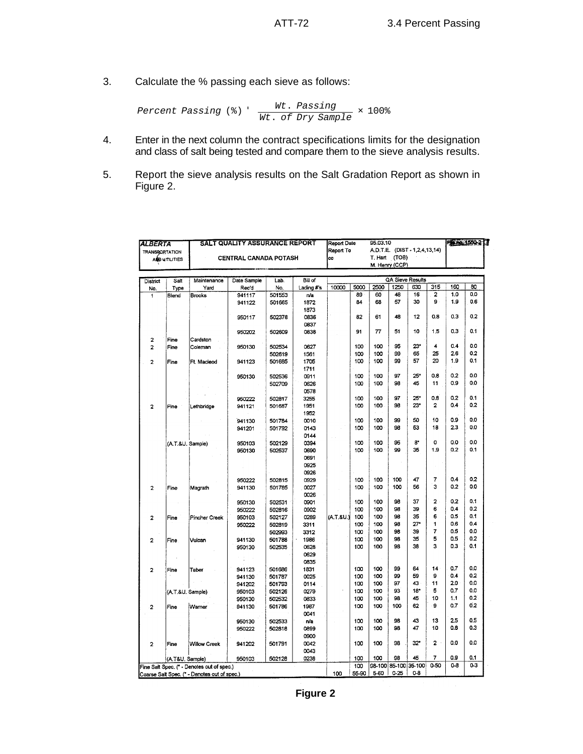3. Calculate the % passing each sieve as follows:

$$
\text{Percent Passing } (*) \text{ } ' \text{ } \frac{\text{Wt. Passing}}{\text{Wt. of Dry Sample}} \times 100\%
$$

- 4. Enter in the next column the contract specifications limits for the designation and class of salt being tested and compare them to the sieve analysis results.
- 5. Report the sieve analysis results on the Salt Gradation Report as shown in Figure 2.

| <b>ALBERTA</b><br><b>TRANSRORTATION</b> |                                                      | SALT QUALITY ASSURANCE REPORT              | 95.03.10<br><b>Report Date</b><br>A.D.T.E. (DIST-1,2,4,13,14)<br>Report To |                                       |            |           |      |      | Financi550-2     |                      |                |         |            |
|-----------------------------------------|------------------------------------------------------|--------------------------------------------|----------------------------------------------------------------------------|---------------------------------------|------------|-----------|------|------|------------------|----------------------|----------------|---------|------------|
|                                         | <b>CENTRAL CANADA POTASH</b><br><b>AND UTILITIES</b> |                                            |                                                                            | T. Hart (TOB)<br>cc<br>M. Henry (CCP) |            |           |      |      |                  |                      |                |         |            |
|                                         |                                                      |                                            |                                                                            |                                       |            |           |      |      |                  |                      |                |         |            |
| <b>District</b>                         | Salt                                                 | Maintenance                                | Date Sample                                                                | Lab.                                  | Bill of    |           |      |      | QA Sieve Results |                      |                |         |            |
| No.                                     | Type                                                 | Yard                                       | Rec'd                                                                      | No.                                   | Lading #'s | 10000     | 5000 | 2500 | 1250             | 630                  | 315            | 160     | 80         |
| 1                                       | Blend                                                | Brooks                                     | 941117                                                                     | 501553                                | n/a        |           | 89   | 60   | 48               | 16                   | 2              | 1.0     | 0.0        |
|                                         |                                                      |                                            | 941122                                                                     | 501665                                | 1872       |           | 84   | 68   | 57               | 30                   | 9              | 1.9     | 0.6        |
|                                         |                                                      |                                            |                                                                            |                                       | 1873       |           |      |      |                  |                      |                |         |            |
|                                         |                                                      |                                            | 950117                                                                     | 502378                                | 0836       |           | 82   | 61   | 48               | 12                   | 0.8            | 0.3     | 0.2        |
|                                         |                                                      |                                            |                                                                            |                                       | 0837       |           |      |      |                  |                      |                |         |            |
|                                         |                                                      |                                            | 950202                                                                     | 502609                                | 0838       |           | 91   | 77   | 51               | 10                   | 1.5            | 0.3     | 0.1        |
| $\overline{2}$                          | Fine                                                 | Cardston                                   |                                                                            |                                       |            |           |      |      |                  |                      |                |         |            |
| $\overline{2}$                          | Fine                                                 | Coleman                                    | 950130                                                                     | 502534                                | 0627       |           | 100  | 100  | 95               | 23"                  | 4              | 0.4     | 0.0        |
|                                         |                                                      |                                            |                                                                            | 502619                                | 1561       |           | 100  | 100  | 99               | 65                   | 25             | 2.6     | 0.2        |
| $\overline{2}$                          | Fine                                                 | Ft Macleod                                 | 941123                                                                     | 501685                                | 1705       |           | 100  | 100  | 99               | 57                   | 20             | 1.9     | 0.1        |
|                                         |                                                      |                                            |                                                                            |                                       | 1711       |           |      |      |                  |                      |                |         |            |
|                                         |                                                      |                                            |                                                                            |                                       |            |           |      | 100  | 97               | 25*                  | 0.8            | 0.2     | 0.0        |
|                                         |                                                      |                                            | 950130                                                                     | 502536                                | 0911       |           | 100  |      | 98               | 45                   | 11             | 0.9     | 0.0        |
|                                         |                                                      |                                            |                                                                            | 502709                                | 0626       |           | 100  | 100  |                  |                      |                |         |            |
|                                         |                                                      |                                            |                                                                            |                                       | 0578       |           |      |      |                  |                      |                | 0.2     |            |
|                                         |                                                      |                                            | 950222                                                                     | 502817                                | 3255       |           | 100  | 100  | 97               | 25*                  | 0.8            |         | 0.1<br>0.2 |
| $\overline{2}$                          | Fine                                                 | Lethbridge                                 | 941121                                                                     | 501687                                | 1951       |           | 100  | 100  | 98               | 23*                  | $\overline{2}$ | 0.4     |            |
|                                         |                                                      |                                            |                                                                            |                                       | 1952       |           |      |      |                  |                      |                |         |            |
|                                         |                                                      |                                            | 941130                                                                     | 501784                                | 0010       |           | 100  | 100  | 99               | 50                   | 10             | 0.9     | 0.0        |
|                                         |                                                      |                                            | 941201                                                                     | 501792                                | 0143       |           | 100  | 100  | 98               | 53                   | 18             | 23      | 0.0        |
|                                         |                                                      |                                            |                                                                            |                                       | 0144       |           |      |      |                  |                      |                |         |            |
|                                         | (A.T.&U. Sample)                                     |                                            | 950103                                                                     | 502129                                | 0394       |           | 100  | 100  | 95               | 8"                   | o              | 0.0     | 0.0        |
|                                         |                                                      |                                            | 950130                                                                     | 502537                                | 0690       |           | 100  | 100  | 99               | 35                   | 1.9            | 0.2     | 0.1        |
|                                         |                                                      |                                            |                                                                            |                                       | 0691       |           |      |      |                  |                      |                |         |            |
|                                         |                                                      |                                            |                                                                            |                                       | 0925       |           |      |      |                  |                      |                |         |            |
|                                         |                                                      |                                            |                                                                            |                                       | 0926       |           |      |      |                  |                      |                |         |            |
|                                         |                                                      |                                            | 950222                                                                     | 502815                                | 0929       |           | 100  | 100  | 100              | 47                   | 7              | 0.4     | 0.2        |
| $\overline{2}$                          | Fine                                                 | Magrath                                    | 941130                                                                     | 501785                                | 0027       |           | 100  | 100  | 100              | 56                   | з              | 0.2     | 0.0        |
|                                         |                                                      |                                            |                                                                            |                                       | 0026       |           |      |      |                  |                      |                |         |            |
|                                         |                                                      |                                            | 950130                                                                     | 502531                                | 0901       |           | 100  | 100  | 98               | 37                   | $\overline{a}$ | 0.2     | 0.1        |
|                                         |                                                      |                                            | 950222                                                                     | 502816                                | 0902       |           | 100  | 100  | 98               | 39                   | 6              | 0.4     | 0.2        |
| 2                                       | Fine                                                 | Pincher Creek                              | 950103                                                                     | 502127                                | 0289       | (A.T.&U.) | 100  | 100  | 98               | 35                   | 6              | 0.5     | 0.1        |
|                                         |                                                      |                                            | 950222                                                                     | 502819                                | 3311       |           | 100  | 100  | 98               | 27"                  | 1              | 0.6     | 0.4        |
|                                         |                                                      |                                            |                                                                            | 502993                                | 3312       |           | 100  | 100  | 98               | 39                   | 7              | 0.5     | 0.0        |
|                                         |                                                      |                                            |                                                                            |                                       |            |           | 100  | 100  | 98               | 35                   | 5              | 0.5     | 0.2        |
| $\overline{a}$                          | Fine                                                 | Vulcan                                     | 941130                                                                     | 501788                                | 1986       |           | 100  | 100  | 98               | 38                   | 3              | 0.3     | 0.1        |
|                                         |                                                      |                                            | 950130                                                                     | 502535                                | 0628       |           |      |      |                  |                      |                |         |            |
|                                         |                                                      |                                            |                                                                            |                                       | 0629       |           |      |      |                  |                      |                |         |            |
|                                         |                                                      |                                            |                                                                            |                                       | 0835       |           |      |      |                  |                      |                |         | 0.0        |
| $\overline{2}$                          | Fine                                                 | Taber                                      | 941123                                                                     | 501686                                | 1831       |           | 100  | 100  | 99               | 64                   | 14             | 0.7     |            |
|                                         |                                                      |                                            | 941130                                                                     | 501787                                | 0025       |           | 100  | 100  | 99               | 59                   | 9              | 0.4     | 0.2        |
|                                         |                                                      |                                            | 941202                                                                     | 501793                                | 0114       |           | 100  | 100  | 97               | 43                   | 11             | 2.0     | 0.0        |
|                                         | (A.T.&U. Sample)                                     |                                            | 950103                                                                     | 502126                                | 0279       |           | 100  | 100  | 93               | 18"                  | 5              | 0.7     | 0.0        |
|                                         |                                                      |                                            | 950130                                                                     | 502532                                | 0833       |           | 100  | 100  | 98               | 45                   | 10             | 1.1     | 0.2        |
| $\overline{\mathbf{2}}$                 | Fine                                                 | Warner                                     | 941130                                                                     | 501786                                | 1987       |           | 100  | 100  | 100              | 62                   | 9              | 0.7     | 0.2        |
|                                         |                                                      |                                            |                                                                            |                                       | 0041       |           |      |      |                  |                      |                |         |            |
|                                         |                                                      |                                            | 950130                                                                     | 502533                                | n/a        |           | 100  | 100  | 98               | 43                   | 13             | 2.5     | 0.5        |
|                                         |                                                      |                                            | 950222                                                                     | 502818                                | 0899       |           | 100  | 100  | 98               | 47                   | 10             | 0.8     | 0.3        |
|                                         |                                                      |                                            |                                                                            |                                       | 0900       |           |      |      |                  |                      |                |         |            |
| $\overline{2}$                          | Fine                                                 | <b>Willow Creek</b>                        | 941202                                                                     | 501791                                | 0042       |           | 100  | 100  | 98               | 32"                  | $2^+$          | 0.0     | 0.0        |
|                                         |                                                      |                                            |                                                                            |                                       | 0043       |           |      |      |                  |                      |                |         |            |
|                                         | (A.T&U. Sample)                                      |                                            | 950103                                                                     | 502128                                | 0238       |           | 100  | 100  | 98               | 45                   | 7              | 0.9     | 0.1        |
|                                         |                                                      |                                            |                                                                            |                                       |            |           |      |      |                  |                      |                |         |            |
|                                         |                                                      | Fine Salt Spec. (* - Denotes out of spec.) |                                                                            |                                       |            |           | 100  |      |                  | 98-100 85-100 35-100 | $0 - 50$       | $0 - 8$ | 0-3        |

**Figure 2**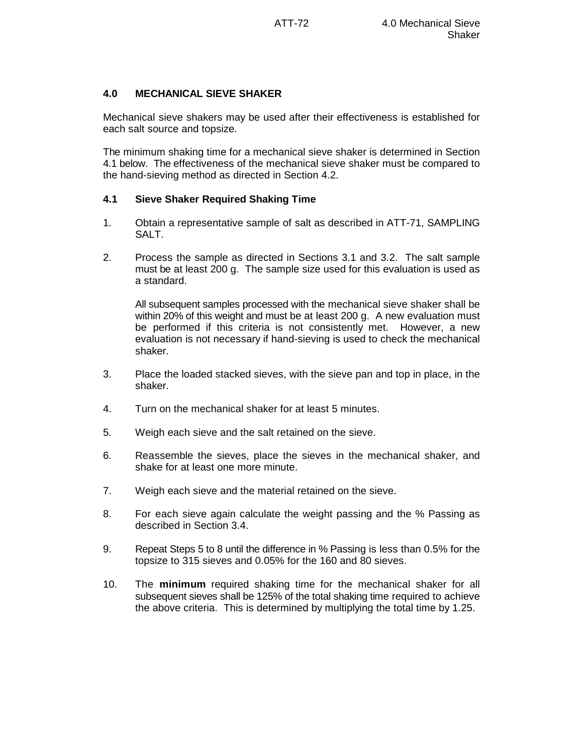## **4.0 MECHANICAL SIEVE SHAKER**

Mechanical sieve shakers may be used after their effectiveness is established for each salt source and topsize.

The minimum shaking time for a mechanical sieve shaker is determined in Section 4.1 below. The effectiveness of the mechanical sieve shaker must be compared to the hand-sieving method as directed in Section 4.2.

# **4.1 Sieve Shaker Required Shaking Time**

- 1. Obtain a representative sample of salt as described in ATT-71, SAMPLING SALT.
- 2. Process the sample as directed in Sections 3.1 and 3.2. The salt sample must be at least 200 g. The sample size used for this evaluation is used as a standard.

All subsequent samples processed with the mechanical sieve shaker shall be within 20% of this weight and must be at least 200 g. A new evaluation must be performed if this criteria is not consistently met. However, a new evaluation is not necessary if hand-sieving is used to check the mechanical shaker.

- 3. Place the loaded stacked sieves, with the sieve pan and top in place, in the shaker.
- 4. Turn on the mechanical shaker for at least 5 minutes.
- 5. Weigh each sieve and the salt retained on the sieve.
- 6. Reassemble the sieves, place the sieves in the mechanical shaker, and shake for at least one more minute.
- 7. Weigh each sieve and the material retained on the sieve.
- 8. For each sieve again calculate the weight passing and the % Passing as described in Section 3.4.
- 9. Repeat Steps 5 to 8 until the difference in % Passing is less than 0.5% for the topsize to 315 sieves and 0.05% for the 160 and 80 sieves.
- 10. The **minimum** required shaking time for the mechanical shaker for all subsequent sieves shall be 125% of the total shaking time required to achieve the above criteria. This is determined by multiplying the total time by 1.25.